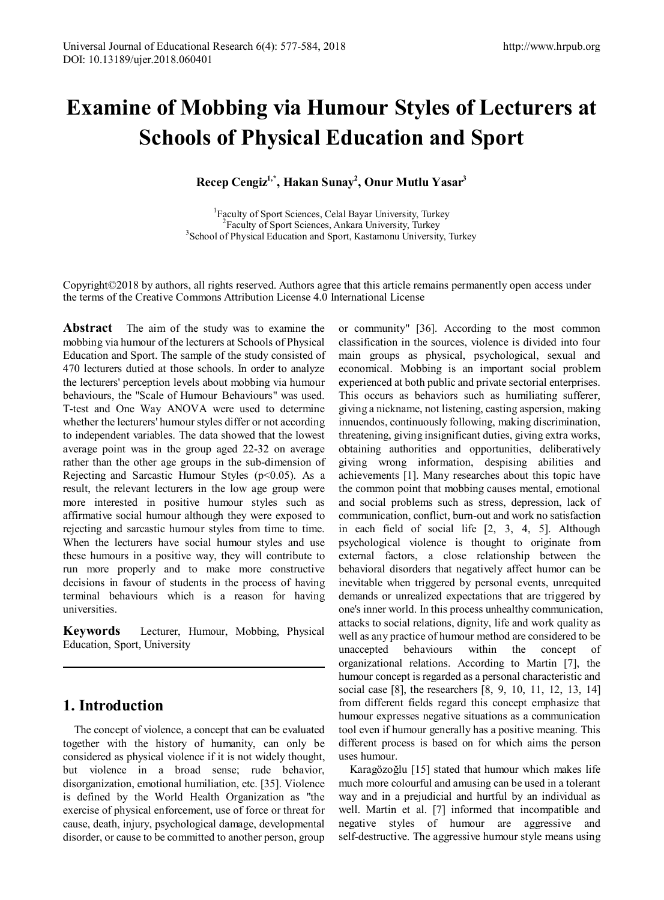# **Examine of Mobbing via Humour Styles of Lecturers at Schools of Physical Education and Sport**

**Recep Cengiz1,\*, Hakan Sunay2 , Onur Mutlu Yasar3**

<sup>1</sup> Faculty of Sport Sciences, Celal Bayar University, Turkey <sup>2</sup> Faculty of Sport Sciences, Ankara University, Turkey  ${}^{2}$ Faculty of Sport Sciences, Ankara University, Turkey <sup>3</sup> School of Physical Education and Sport, Kastamonu University, Turkey

Copyright©2018 by authors, all rights reserved. Authors agree that this article remains permanently open access under the terms of the Creative Commons Attribution License 4.0 International License

**Abstract** The aim of the study was to examine the mobbing via humour of the lecturers at Schools of Physical Education and Sport. The sample of the study consisted of 470 lecturers dutied at those schools. In order to analyze the lecturers' perception levels about mobbing via humour behaviours, the "Scale of Humour Behaviours" was used. T-test and One Way ANOVA were used to determine whether the lecturers' humour styles differ or not according to independent variables. The data showed that the lowest average point was in the group aged 22-32 on average rather than the other age groups in the sub-dimension of Rejecting and Sarcastic Humour Styles  $(p<0.05)$ . As a result, the relevant lecturers in the low age group were more interested in positive humour styles such as affirmative social humour although they were exposed to rejecting and sarcastic humour styles from time to time. When the lecturers have social humour styles and use these humours in a positive way, they will contribute to run more properly and to make more constructive decisions in favour of students in the process of having terminal behaviours which is a reason for having universities.

**Keywords** Lecturer, Humour, Mobbing, Physical Education, Sport, University

# **1. Introduction**

The concept of violence, a concept that can be evaluated together with the history of humanity, can only be considered as physical violence if it is not widely thought, but violence in a broad sense; rude behavior, disorganization, emotional humiliation, etc. [35]. Violence is defined by the World Health Organization as "the exercise of physical enforcement, use of force or threat for cause, death, injury, psychological damage, developmental disorder, or cause to be committed to another person, group

or community" [36]. According to the most common classification in the sources, violence is divided into four main groups as physical, psychological, sexual and economical. Mobbing is an important social problem experienced at both public and private sectorial enterprises. This occurs as behaviors such as humiliating sufferer, giving a nickname, not listening, casting aspersion, making innuendos, continuously following, making discrimination, threatening, giving insignificant duties, giving extra works, obtaining authorities and opportunities, deliberatively giving wrong information, despising abilities and achievements [1]. Many researches about this topic have the common point that mobbing causes mental, emotional and social problems such as stress, depression, lack of communication, conflict, burn-out and work no satisfaction in each field of social life [2, 3, 4, 5]. Although psychological violence is thought to originate from external factors, a close relationship between the behavioral disorders that negatively affect humor can be inevitable when triggered by personal events, unrequited demands or unrealized expectations that are triggered by one's inner world. In this process unhealthy communication, attacks to social relations, dignity, life and work quality as well as any practice of humour method are considered to be unaccepted behaviours within the concept of organizational relations. According to Martin [7], the humour concept is regarded as a personal characteristic and social case [8], the researchers [8, 9, 10, 11, 12, 13, 14] from different fields regard this concept emphasize that humour expresses negative situations as a communication tool even if humour generally has a positive meaning. This different process is based on for which aims the person uses humour.

Karagözoğlu [15] stated that humour which makes life much more colourful and amusing can be used in a tolerant way and in a prejudicial and hurtful by an individual as well. Martin et al. [7] informed that incompatible and negative styles of humour are aggressive and self-destructive. The aggressive humour style means using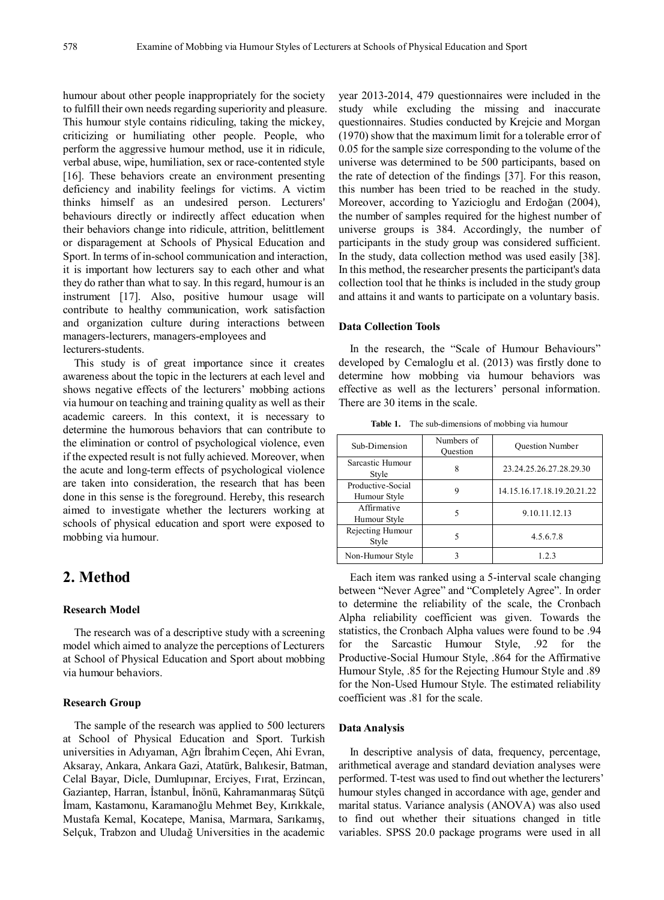humour about other people inappropriately for the society to fulfill their own needs regarding superiority and pleasure. This humour style contains ridiculing, taking the mickey, criticizing or humiliating other people. People, who perform the aggressive humour method, use it in ridicule, verbal abuse, wipe, humiliation, sex or race-contented style [16]. These behaviors create an environment presenting deficiency and inability feelings for victims. A victim thinks himself as an undesired person. Lecturers' behaviours directly or indirectly affect education when their behaviors change into ridicule, attrition, belittlement or disparagement at Schools of Physical Education and Sport. In terms of in-school communication and interaction, it is important how lecturers say to each other and what they do rather than what to say. In this regard, humour is an instrument [17]. Also, positive humour usage will contribute to healthy communication, work satisfaction and organization culture during interactions between managers-lecturers, managers-employees and lecturers-students.

This study is of great importance since it creates awareness about the topic in the lecturers at each level and shows negative effects of the lecturers' mobbing actions via humour on teaching and training quality as well as their academic careers. In this context, it is necessary to determine the humorous behaviors that can contribute to the elimination or control of psychological violence, even if the expected result is not fully achieved. Moreover, when the acute and long-term effects of psychological violence are taken into consideration, the research that has been done in this sense is the foreground. Hereby, this research aimed to investigate whether the lecturers working at schools of physical education and sport were exposed to mobbing via humour.

## **2. Method**

## **Research Model**

The research was of a descriptive study with a screening model which aimed to analyze the perceptions of Lecturers at School of Physical Education and Sport about mobbing via humour behaviors.

### **Research Group**

The sample of the research was applied to 500 lecturers at School of Physical Education and Sport. Turkish universities in Adıyaman, Ağrı İbrahim Ceçen, Ahi Evran, Aksaray, Ankara, Ankara Gazi, Atatürk, Balıkesir, Batman, Celal Bayar, Dicle, Dumlupınar, Erciyes, Fırat, Erzincan, Gaziantep, Harran, İstanbul, İnönü, Kahramanmaraş Sütçü İmam, Kastamonu, Karamanoğlu Mehmet Bey, Kırıkkale, Mustafa Kemal, Kocatepe, Manisa, Marmara, Sarıkamış, Selçuk, Trabzon and Uludağ Universities in the academic

year 2013-2014, 479 questionnaires were included in the study while excluding the missing and inaccurate questionnaires. Studies conducted by Krejcie and Morgan (1970) show that the maximum limit for a tolerable error of 0.05 for the sample size corresponding to the volume of the universe was determined to be 500 participants, based on the rate of detection of the findings [37]. For this reason, this number has been tried to be reached in the study. Moreover, according to Yazicioglu and Erdoğan (2004), the number of samples required for the highest number of universe groups is 384. Accordingly, the number of participants in the study group was considered sufficient. In the study, data collection method was used easily [38]. In this method, the researcher presents the participant's data collection tool that he thinks is included in the study group and attains it and wants to participate on a voluntary basis.

#### **Data Collection Tools**

In the research, the "Scale of Humour Behaviours" developed by Cemaloglu et al. (2013) was firstly done to determine how mobbing via humour behaviors was effective as well as the lecturers' personal information. There are 30 items in the scale.

**Table 1.** The sub-dimensions of mobbing via humour

| Sub-Dimension                     | Numbers of<br>Ouestion | <b>Ouestion Number</b>     |
|-----------------------------------|------------------------|----------------------------|
| Sarcastic Humour<br>Style         | 8                      | 23.24.25.26.27.28.29.30    |
| Productive-Social<br>Humour Style | 9                      | 14.15.16.17.18.19.20.21.22 |
| Affirmative<br>Humour Style       |                        | 9.10.11.12.13              |
| Rejecting Humour<br>Style         | 5                      | 4.5.6.7.8                  |
| Non-Humour Style                  |                        | 123                        |

Each item was ranked using a 5-interval scale changing between "Never Agree" and "Completely Agree". In order to determine the reliability of the scale, the Cronbach Alpha reliability coefficient was given. Towards the statistics, the Cronbach Alpha values were found to be .94 for the Sarcastic Humour Style, .92 for the Productive-Social Humour Style, .864 for the Affirmative Humour Style, .85 for the Rejecting Humour Style and .89 for the Non-Used Humour Style. The estimated reliability coefficient was .81 for the scale.

#### **Data Analysis**

In descriptive analysis of data, frequency, percentage, arithmetical average and standard deviation analyses were performed. T-test was used to find out whether the lecturers' humour styles changed in accordance with age, gender and marital status. Variance analysis (ANOVA) was also used to find out whether their situations changed in title variables. SPSS 20.0 package programs were used in all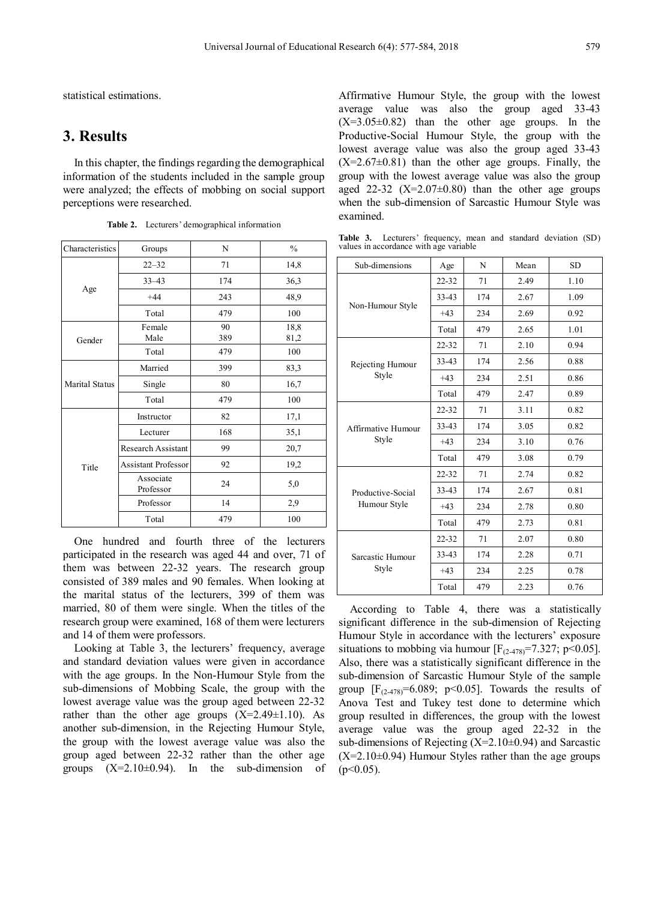statistical estimations.

## **3. Results**

In this chapter, the findings regarding the demographical information of the students included in the sample group were analyzed; the effects of mobbing on social support perceptions were researched.

| Characteristics | Groups                     | N   | $\frac{0}{0}$ |
|-----------------|----------------------------|-----|---------------|
|                 | $22 - 32$                  | 71  | 14,8          |
|                 | $33 - 43$                  | 174 | 36,3          |
| Age             | $+44$                      | 243 | 48,9          |
|                 | Total                      | 479 | 100           |
|                 | Female                     | 90  | 18,8          |
| Gender          | Male                       | 389 | 81,2          |
|                 | Total                      | 479 | 100           |
|                 | Married                    | 399 | 83,3          |
| Marital Status  | Single                     | 80  | 16,7          |
|                 | Total                      | 479 | 100           |
|                 | Instructor                 | 82  | 17,1          |
|                 | Lecturer                   | 168 | 35,1          |
|                 | Research Assistant         | 99  | 20,7          |
| Title           | <b>Assistant Professor</b> | 92  | 19,2          |
|                 | Associate<br>Professor     | 24  | 5,0           |
|                 | Professor                  | 14  | 2,9           |
|                 | Total                      | 479 | 100           |

**Table 2.** Lecturers' demographical information

One hundred and fourth three of the lecturers participated in the research was aged 44 and over, 71 of them was between 22-32 years. The research group consisted of 389 males and 90 females. When looking at the marital status of the lecturers, 399 of them was married, 80 of them were single. When the titles of the research group were examined, 168 of them were lecturers and 14 of them were professors.

Looking at Table 3, the lecturers' frequency, average and standard deviation values were given in accordance with the age groups. In the Non-Humour Style from the sub-dimensions of Mobbing Scale, the group with the lowest average value was the group aged between 22-32 rather than the other age groups  $(X=2.49\pm1.10)$ . As another sub-dimension, in the Rejecting Humour Style, the group with the lowest average value was also the group aged between 22-32 rather than the other age groups  $(X=2.10\pm0.94)$ . In the sub-dimension of Affirmative Humour Style, the group with the lowest average value was also the group aged 33-43  $(X=3.05\pm0.82)$  than the other age groups. In the Productive-Social Humour Style, the group with the lowest average value was also the group aged 33-43  $(X=2.67\pm0.81)$  than the other age groups. Finally, the group with the lowest average value was also the group aged 22-32  $(X=2.07\pm0.80)$  than the other age groups when the sub-dimension of Sarcastic Humour Style was examined.

**Table 3.** Lecturers' frequency, mean and standard deviation (SD) values in accordance with age variable

| Sub-dimensions            | Age       | N   | Mean | <b>SD</b> |
|---------------------------|-----------|-----|------|-----------|
| Non-Humour Style          | $22 - 32$ | 71  | 2.49 | 1.10      |
|                           | 33-43     | 174 | 2.67 | 1.09      |
|                           | $+43$     | 234 | 2.69 | 0.92      |
|                           | Total     | 479 | 2.65 | 1.01      |
|                           | 22-32     | 71  | 2.10 | 0.94      |
| Rejecting Humour          | 33-43     | 174 | 2.56 | 0.88      |
| Style                     | $+43$     | 234 | 2.51 | 0.86      |
|                           | Total     | 479 | 2.47 | 0.89      |
|                           | 22-32     | 71  | 3.11 | 0.82      |
| Affirmative Humour        | $33 - 43$ | 174 | 3.05 | 0.82      |
| Style                     | $+43$     | 234 | 3.10 | 0.76      |
|                           | Total     | 479 | 3.08 | 0.79      |
|                           | $22 - 32$ | 71  | 2.74 | 0.82      |
| Productive-Social         | 33-43     | 174 | 2.67 | 0.81      |
| Humour Style              | $+43$     | 234 | 2.78 | 0.80      |
|                           | Total     | 479 | 2.73 | 0.81      |
| Sarcastic Humour<br>Style | $22 - 32$ | 71  | 2.07 | 0.80      |
|                           | $33 - 43$ | 174 | 2.28 | 0.71      |
|                           | $+43$     | 234 | 2.25 | 0.78      |
|                           | Total     | 479 | 2.23 | 0.76      |

According to Table 4, there was a statistically significant difference in the sub-dimension of Rejecting Humour Style in accordance with the lecturers' exposure situations to mobbing via humour  $[F<sub>(2-478)</sub>=7.327; p<0.05]$ . Also, there was a statistically significant difference in the sub-dimension of Sarcastic Humour Style of the sample group  $[F<sub>(2-478)</sub>=6.089; p<0.05]$ . Towards the results of Anova Test and Tukey test done to determine which group resulted in differences, the group with the lowest average value was the group aged 22-32 in the sub-dimensions of Rejecting  $(X=2.10\pm0.94)$  and Sarcastic  $(X=2.10\pm0.94)$  Humour Styles rather than the age groups  $(p<0.05)$ .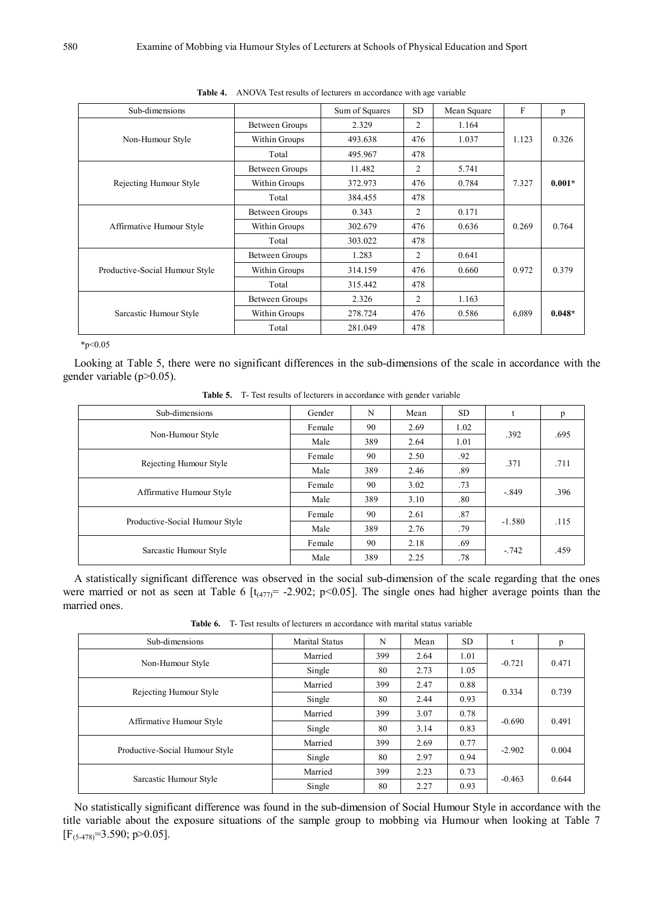| Sub-dimensions                 |                       | Sum of Squares | SD. | Mean Square | ${\bf F}$ | p        |
|--------------------------------|-----------------------|----------------|-----|-------------|-----------|----------|
| Non-Humour Style               | Between Groups        | 2.329          | 2   | 1.164       |           |          |
|                                | Within Groups         | 493.638        | 476 | 1.037       | 1.123     | 0.326    |
|                                | Total                 | 495.967        | 478 |             |           |          |
|                                | <b>Between Groups</b> | 11.482         | 2   | 5.741       |           |          |
| Rejecting Humour Style         | Within Groups         | 372.973        | 476 | 0.784       | 7.327     | $0.001*$ |
|                                | Total                 | 384.455        | 478 |             |           |          |
|                                | <b>Between Groups</b> | 0.343          | 2   | 0.171       |           |          |
| Affirmative Humour Style       | Within Groups         | 302.679        | 476 | 0.636       | 0.269     | 0.764    |
|                                | Total                 | 303.022        | 478 |             |           |          |
|                                | <b>Between Groups</b> | 1.283          | 2   | 0.641       |           |          |
| Productive-Social Humour Style | Within Groups         | 314.159        | 476 | 0.660       | 0.972     | 0.379    |
|                                | Total                 | 315.442        | 478 |             |           |          |
| Sarcastic Humour Style         | Between Groups        | 2.326          | 2   | 1.163       |           |          |
|                                | Within Groups         | 278.724        | 476 | 0.586       | 6,089     | $0.048*$ |
|                                | Total                 | 281.049        | 478 |             |           |          |

**Table 4.** ANOVA Test results of lecturers ın accordance with age variable

 $*p<0.05$ 

Looking at Table 5, there were no significant differences in the sub-dimensions of the scale in accordance with the gender variable (p>0.05).

| Sub-dimensions                 | Gender | N   | Mean | SD.  | t        | p    |
|--------------------------------|--------|-----|------|------|----------|------|
|                                | Female | 90  | 2.69 | 1.02 | .392     | .695 |
| Non-Humour Style               | Male   | 389 | 2.64 | 1.01 |          |      |
| Rejecting Humour Style         | Female | 90  | 2.50 | .92  | .371     | .711 |
|                                | Male   | 389 | 2.46 | .89  |          |      |
| Affirmative Humour Style       | Female | 90  | 3.02 | .73  | $-.849$  | .396 |
|                                | Male   | 389 | 3.10 | .80  |          |      |
|                                | Female | 90  | 2.61 | .87  |          |      |
| Productive-Social Humour Style | Male   | 389 | 2.76 | .79  | $-1.580$ | .115 |
| Sarcastic Humour Style         | Female | 90  | 2.18 | .69  |          |      |
|                                | Male   | 389 | 2.25 | .78  | $-0.742$ | .459 |

**Table 5.** T- Test results of lecturers in accordance with gender variable

A statistically significant difference was observed in the social sub-dimension of the scale regarding that the ones were married or not as seen at Table 6  $[t_{(477)} = -2.902; p<0.05]$ . The single ones had higher average points than the married ones.

**Table 6.** T- Test results of lecturers ın accordance with marital status variable

| Sub-dimensions                 | Marital Status                                                                                                                                                                                                                                                                                                                | N   | Mean | <b>SD</b> |  | p     |
|--------------------------------|-------------------------------------------------------------------------------------------------------------------------------------------------------------------------------------------------------------------------------------------------------------------------------------------------------------------------------|-----|------|-----------|--|-------|
|                                | Married                                                                                                                                                                                                                                                                                                                       | 399 | 2.64 | 1.01      |  | 0.471 |
| Non-Humour Style               | $-0.721$<br>2.73<br>80<br>1.05<br>Single<br>399<br>0.88<br>2.47<br>Married<br>0.334<br>80<br>2.44<br>0.93<br>Single<br>399<br>3.07<br>0.78<br>Married<br>$-0.690$<br>0.83<br>80<br>3.14<br>Single<br>Married<br>399<br>0.77<br>2.69<br>$-2.902$<br>80<br>2.97<br>0.94<br>Single<br>399<br>Married<br>2.23<br>0.73<br>$-0.463$ |     |      |           |  |       |
|                                |                                                                                                                                                                                                                                                                                                                               |     |      |           |  | 0.739 |
| Rejecting Humour Style         |                                                                                                                                                                                                                                                                                                                               |     |      |           |  |       |
|                                |                                                                                                                                                                                                                                                                                                                               |     |      |           |  | 0.491 |
| Affirmative Humour Style       |                                                                                                                                                                                                                                                                                                                               |     |      |           |  |       |
|                                |                                                                                                                                                                                                                                                                                                                               |     |      |           |  |       |
| Productive-Social Humour Style |                                                                                                                                                                                                                                                                                                                               |     |      |           |  | 0.004 |
|                                |                                                                                                                                                                                                                                                                                                                               |     |      |           |  |       |
| Sarcastic Humour Style         | Single                                                                                                                                                                                                                                                                                                                        | 80  | 2.27 | 0.93      |  | 0.644 |

No statistically significant difference was found in the sub-dimension of Social Humour Style in accordance with the title variable about the exposure situations of the sample group to mobbing via Humour when looking at Table 7  $[F_{(5-478)}=3.590; p>0.05]$ .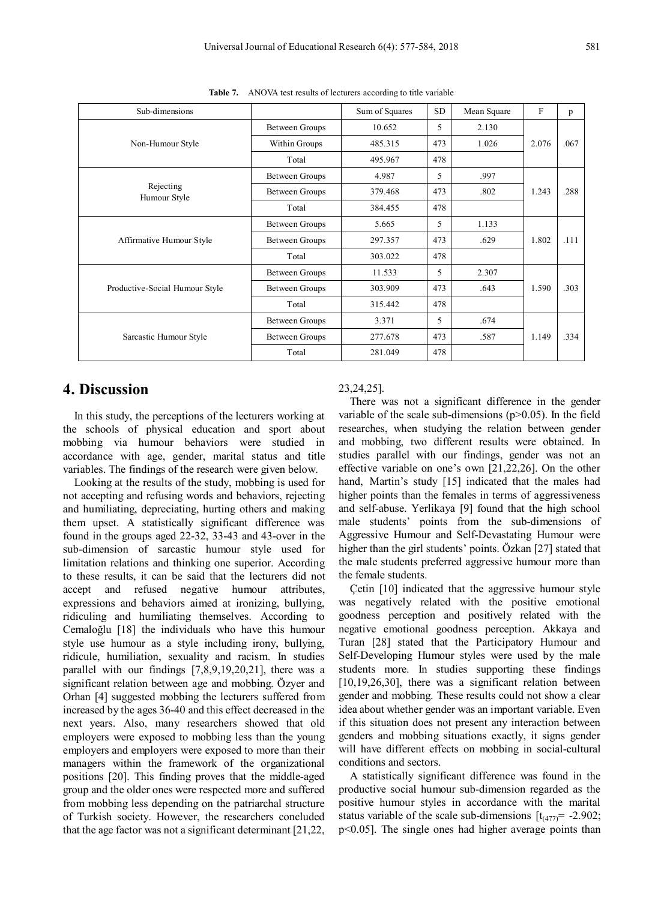| Sub-dimensions                 |                       | Sum of Squares | SD <sub></sub> | Mean Square | F     | p    |
|--------------------------------|-----------------------|----------------|----------------|-------------|-------|------|
| Non-Humour Style               | <b>Between Groups</b> | 10.652         | 5              | 2.130       |       |      |
|                                | Within Groups         | 485.315        | 473            | 1.026       | 2.076 | .067 |
|                                | Total                 | 495.967        | 478            |             |       |      |
|                                | <b>Between Groups</b> | 4.987          | 5              | .997        |       |      |
| Rejecting<br>Humour Style      | Between Groups        | 379.468        | 473            | .802        | 1.243 | .288 |
|                                | Total                 | 384.455        | 478            |             |       |      |
|                                | Between Groups        | 5.665          | 5              | 1.133       |       |      |
| Affirmative Humour Style       | Between Groups        | 297.357        | 473            | .629        | 1.802 | .111 |
|                                | Total                 | 303.022        | 478            |             |       |      |
|                                | Between Groups        | 11.533         | 5              | 2.307       |       |      |
| Productive-Social Humour Style | Between Groups        | 303.909        | 473            | .643        | 1.590 | .303 |
|                                | Total                 | 315.442        | 478            |             |       |      |
| Sarcastic Humour Style         | Between Groups        | 3.371          | 5              | .674        |       |      |
|                                | <b>Between Groups</b> | 277.678        | 473            | .587        | 1.149 | .334 |
|                                | Total                 | 281.049        | 478            |             |       |      |

**Table 7.** ANOVA test results of lecturers according to title variable

## **4. Discussion**

In this study, the perceptions of the lecturers working at the schools of physical education and sport about mobbing via humour behaviors were studied in accordance with age, gender, marital status and title variables. The findings of the research were given below.

Looking at the results of the study, mobbing is used for not accepting and refusing words and behaviors, rejecting and humiliating, depreciating, hurting others and making them upset. A statistically significant difference was found in the groups aged 22-32, 33-43 and 43-over in the sub-dimension of sarcastic humour style used for limitation relations and thinking one superior. According to these results, it can be said that the lecturers did not accept and refused negative humour attributes, expressions and behaviors aimed at ironizing, bullying, ridiculing and humiliating themselves. According to Cemaloğlu [18] the individuals who have this humour style use humour as a style including irony, bullying, ridicule, humiliation, sexuality and racism. In studies parallel with our findings [7,8,9,19,20,21], there was a significant relation between age and mobbing. Özyer and Orhan [4] suggested mobbing the lecturers suffered from increased by the ages 36-40 and this effect decreased in the next years. Also, many researchers showed that old employers were exposed to mobbing less than the young employers and employers were exposed to more than their managers within the framework of the organizational positions [20]. This finding proves that the middle-aged group and the older ones were respected more and suffered from mobbing less depending on the patriarchal structure of Turkish society. However, the researchers concluded that the age factor was not a significant determinant [21,22,

#### 23,24,25].

There was not a significant difference in the gender variable of the scale sub-dimensions  $(p>0.05)$ . In the field researches, when studying the relation between gender and mobbing, two different results were obtained. In studies parallel with our findings, gender was not an effective variable on one's own [21,22,26]. On the other hand, Martin's study [15] indicated that the males had higher points than the females in terms of aggressiveness and self-abuse. Yerlikaya [9] found that the high school male students' points from the sub-dimensions of Aggressive Humour and Self-Devastating Humour were higher than the girl students' points. Özkan [27] stated that the male students preferred aggressive humour more than the female students.

Çetin [10] indicated that the aggressive humour style was negatively related with the positive emotional goodness perception and positively related with the negative emotional goodness perception. Akkaya and Turan [28] stated that the Participatory Humour and Self-Developing Humour styles were used by the male students more. In studies supporting these findings [10,19,26,30], there was a significant relation between gender and mobbing. These results could not show a clear idea about whether gender was an important variable. Even if this situation does not present any interaction between genders and mobbing situations exactly, it signs gender will have different effects on mobbing in social-cultural conditions and sectors.

A statistically significant difference was found in the productive social humour sub-dimension regarded as the positive humour styles in accordance with the marital status variable of the scale sub-dimensions  $[t_{(477)} = -2.902;$ p<0.05]. The single ones had higher average points than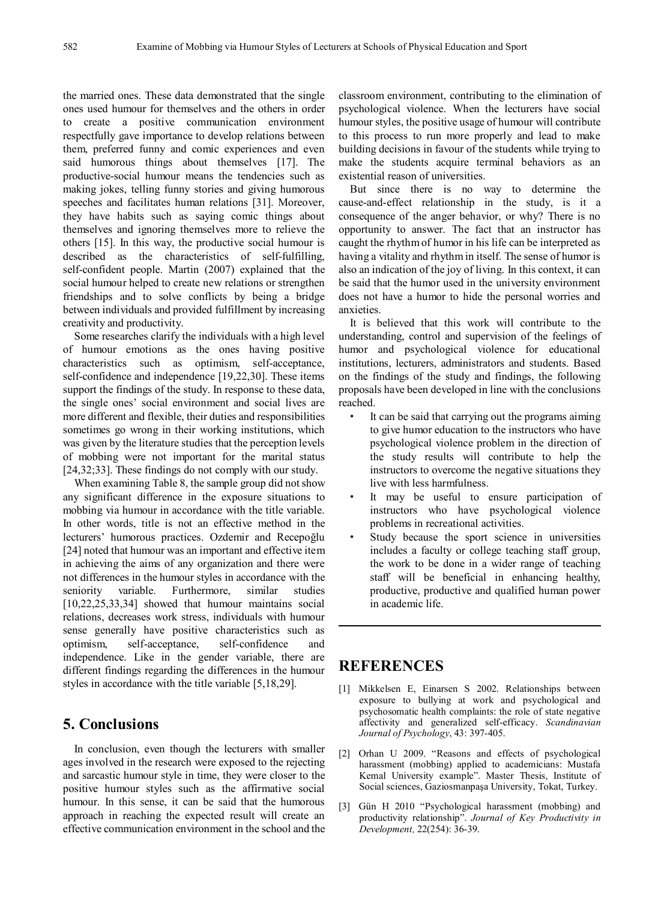the married ones. These data demonstrated that the single ones used humour for themselves and the others in order to create a positive communication environment respectfully gave importance to develop relations between them, preferred funny and comic experiences and even said humorous things about themselves [17]. The productive-social humour means the tendencies such as making jokes, telling funny stories and giving humorous speeches and facilitates human relations [31]. Moreover, they have habits such as saying comic things about themselves and ignoring themselves more to relieve the others [15]. In this way, the productive social humour is described as the characteristics of self-fulfilling, self-confident people. Martin (2007) explained that the social humour helped to create new relations or strengthen friendships and to solve conflicts by being a bridge between individuals and provided fulfillment by increasing creativity and productivity.

Some researches clarify the individuals with a high level of humour emotions as the ones having positive characteristics such as optimism, self-acceptance, self-confidence and independence [19,22,30]. These items support the findings of the study. In response to these data, the single ones' social environment and social lives are more different and flexible, their duties and responsibilities sometimes go wrong in their working institutions, which was given by the literature studies that the perception levels of mobbing were not important for the marital status [24,32;33]. These findings do not comply with our study.

When examining Table 8, the sample group did not show any significant difference in the exposure situations to mobbing via humour in accordance with the title variable. In other words, title is not an effective method in the lecturers' humorous practices. Ozdemir and Recepoğlu [24] noted that humour was an important and effective item in achieving the aims of any organization and there were not differences in the humour styles in accordance with the seniority variable. Furthermore, similar studies [10,22,25,33,34] showed that humour maintains social relations, decreases work stress, individuals with humour sense generally have positive characteristics such as optimism, self-acceptance, self-confidence and independence. Like in the gender variable, there are different findings regarding the differences in the humour styles in accordance with the title variable [5,18,29].

## **5. Conclusions**

In conclusion, even though the lecturers with smaller ages involved in the research were exposed to the rejecting and sarcastic humour style in time, they were closer to the positive humour styles such as the affirmative social humour. In this sense, it can be said that the humorous approach in reaching the expected result will create an effective communication environment in the school and the

classroom environment, contributing to the elimination of psychological violence. When the lecturers have social humour styles, the positive usage of humour will contribute to this process to run more properly and lead to make building decisions in favour of the students while trying to make the students acquire terminal behaviors as an existential reason of universities.

But since there is no way to determine the cause-and-effect relationship in the study, is it a consequence of the anger behavior, or why? There is no opportunity to answer. The fact that an instructor has caught the rhythm of humor in his life can be interpreted as having a vitality and rhythm in itself. The sense of humor is also an indication of the joy of living. In this context, it can be said that the humor used in the university environment does not have a humor to hide the personal worries and anxieties.

It is believed that this work will contribute to the understanding, control and supervision of the feelings of humor and psychological violence for educational institutions, lecturers, administrators and students. Based on the findings of the study and findings, the following proposals have been developed in line with the conclusions reached.

- It can be said that carrying out the programs aiming to give humor education to the instructors who have psychological violence problem in the direction of the study results will contribute to help the instructors to overcome the negative situations they live with less harmfulness.
- It may be useful to ensure participation of instructors who have psychological violence problems in recreational activities.
- Study because the sport science in universities includes a faculty or college teaching staff group, the work to be done in a wider range of teaching staff will be beneficial in enhancing healthy, productive, productive and qualified human power in academic life.

## **REFERENCES**

- [1] Mikkelsen E, Einarsen S 2002. Relationships between exposure to bullying at work and psychological and psychosomatic health complaints: the role of state negative affectivity and generalized self-efficacy. *Scandinavian Journal of Psychology*, 43: 397-405.
- [2] Orhan U 2009. "Reasons and effects of psychological harassment (mobbing) applied to academicians: Mustafa Kemal University example". Master Thesis, Institute of Social sciences, Gaziosmanpaşa University, Tokat, Turkey.
- [3] Gün H 2010 "Psychological harassment (mobbing) and productivity relationship". *Journal of Key Productivity in Development,* 22(254): 36-39.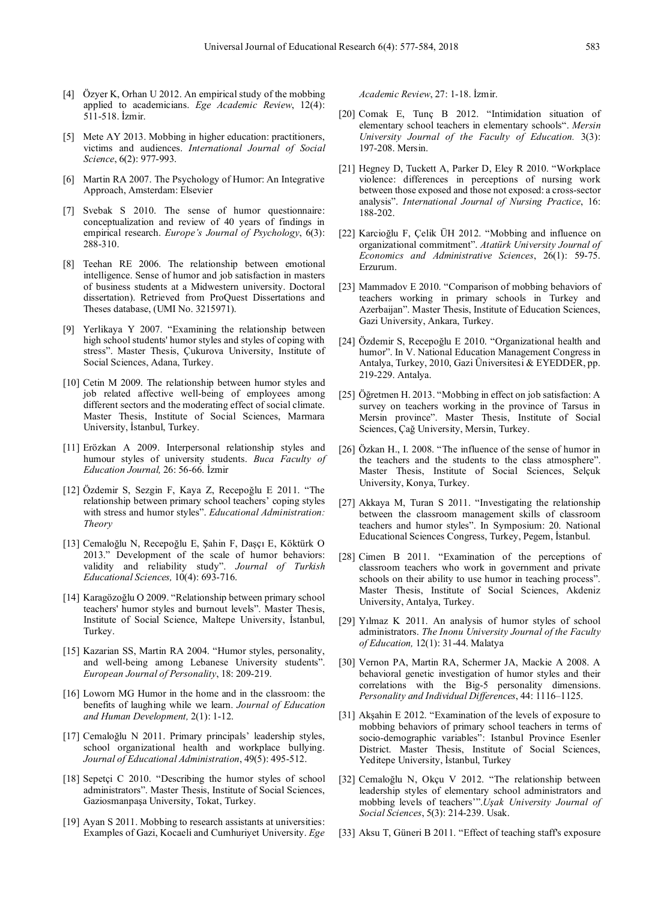- [4] Özyer K, Orhan U 2012. An empirical study of the mobbing applied to academicians. *Ege Academic Review*, 12(4): 511-518. İzmir.
- [5] Mete AY 2013. Mobbing in higher education: practitioners, victims and audiences. *International Journal of Social Science*, 6(2): 977-993.
- [6] Martin RA 2007. The Psychology of Humor: An Integrative Approach, Amsterdam: Elsevier
- [7] Svebak S 2010. The sense of humor questionnaire: conceptualization and review of 40 years of findings in empirical research. *Europe's Journal of Psychology*, 6(3): 288-310.
- [8] Teehan RE 2006. The relationship between emotional intelligence. Sense of humor and job satisfaction in masters of business students at a Midwestern university. Doctoral dissertation). Retrieved from ProQuest Dissertations and Theses database, (UMI No. 3215971).
- [9] Yerlikaya Y 2007. "Examining the relationship between high school students' humor styles and styles of coping with stress". Master Thesis, Çukurova University, Institute of Social Sciences, Adana, Turkey.
- [10] Cetin M 2009. The relationship between humor styles and job related affective well-being of employees among different sectors and the moderating effect of social climate. Master Thesis, Institute of Social Sciences, Marmara University, İstanbul, Turkey.
- [11] Erözkan A 2009. Interpersonal relationship styles and humour styles of university students. *Buca Faculty of Education Journal,* 26: 56-66. İzmir
- [12] Özdemir S, Sezgin F, Kaya Z, Recepoğlu E 2011. "The relationship between primary school teachers' coping styles with stress and humor styles". *Educational Administration: Theory*
- [13] Cemaloğlu N, Recepoğlu E, Şahin F, Daşçı E, Köktürk O 2013." Development of the scale of humor behaviors: validity and reliability study". *Journal of Turkish Educational Sciences,* 10(4): 693-716.
- [14] Karagözoğlu O 2009. "Relationship between primary school teachers' humor styles and burnout levels". Master Thesis, Institute of Social Science, Maltepe University, İstanbul, Turkey.
- [15] Kazarian SS, Martin RA 2004. "Humor styles, personality, and well-being among Lebanese University students". *European Journal of Personality*, 18: 209-219.
- [16] Loworn MG Humor in the home and in the classroom: the benefits of laughing while we learn. *Journal of Education and Human Development,* 2(1): 1-12.
- [17] Cemaloğlu N 2011. Primary principals' leadership styles, school organizational health and workplace bullying. *Journal of Educational Administration*, 49(5): 495-512.
- [18] Sepetçi C 2010. "Describing the humor styles of school administrators". Master Thesis, Institute of Social Sciences, Gaziosmanpaşa University, Tokat, Turkey.
- [19] Ayan S 2011. Mobbing to research assistants at universities: Examples of Gazi, Kocaeli and Cumhuriyet University. *Ege*

*Academic Review*, 27: 1-18. İzmir.

- [20] Comak E, Tunç B 2012. "Intimidation situation of elementary school teachers in elementary schools". *Mersin University Journal of the Faculty of Education.* 3(3): 197-208. Mersin.
- [21] Hegney D, Tuckett A, Parker D, Eley R 2010. "Workplace violence: differences in perceptions of nursing work between those exposed and those not exposed: a cross-sector analysis". *International Journal of Nursing Practice*, 16: 188-202.
- [22] Karcioğlu F, Çelik ÜH 2012. "Mobbing and influence on organizational commitment". *Atatürk University Journal of Economics and Administrative Sciences*, 26(1): 59-75. Erzurum.
- [23] Mammadov E 2010. "Comparison of mobbing behaviors of teachers working in primary schools in Turkey and Azerbaijan". Master Thesis, Institute of Education Sciences, Gazi University, Ankara, Turkey.
- [24] Özdemir S, Recepoğlu E 2010. "Organizational health and humor". In V. National Education Management Congress in Antalya, Turkey, 2010, Gazi Üniversitesi & EYEDDER, pp. 219-229. Antalya.
- [25] Öğretmen H. 2013. "Mobbing in effect on job satisfaction: A survey on teachers working in the province of Tarsus in Mersin province". Master Thesis, Institute of Social Sciences, Çağ University, Mersin, Turkey.
- [26] Özkan H., I. 2008. "The influence of the sense of humor in the teachers and the students to the class atmosphere". Master Thesis, Institute of Social Sciences, Selçuk University, Konya, Turkey.
- [27] Akkaya M, Turan S 2011. "Investigating the relationship between the classroom management skills of classroom teachers and humor styles". In Symposium: 20. National Educational Sciences Congress, Turkey, Pegem, İstanbul.
- [28] Cimen B 2011. "Examination of the perceptions of classroom teachers who work in government and private schools on their ability to use humor in teaching process". Master Thesis, Institute of Social Sciences, Akdeniz University, Antalya, Turkey.
- [29] Yılmaz K 2011. An analysis of humor styles of school administrators. *The Inonu University Journal of the Faculty of Education,* 12(1): 31-44. Malatya
- [30] Vernon PA, Martin RA, Schermer JA, Mackie A 2008. A behavioral genetic investigation of humor styles and their correlations with the Big-5 personality dimensions. *Personality and Individual Differences*, 44: 1116–1125.
- [31] Akşahin E 2012. "Examination of the levels of exposure to mobbing behaviors of primary school teachers in terms of socio-demographic variables": Istanbul Province Esenler District. Master Thesis, Institute of Social Sciences, Yeditepe University, İstanbul, Turkey
- [32] Cemaloğlu N, Okçu V 2012. "The relationship between leadership styles of elementary school administrators and mobbing levels of teachers'".*Uşak University Journal of Social Sciences*, 5(3): 214-239. Usak.
- [33] Aksu T, Güneri B 2011. "Effect of teaching staff's exposure